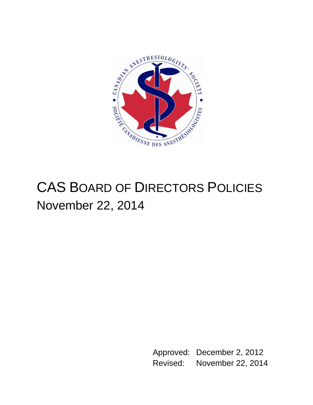

# CAS BOARD OF DIRECTORS POLICIES November 22, 2014

Approved: December 2, 2012 Revised: November 22, 2014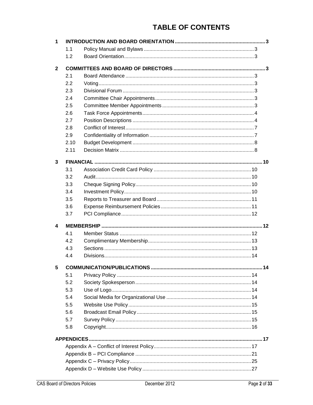# **TABLE OF CONTENTS**

| 1            |      |  |  |  |  |  |  |  |
|--------------|------|--|--|--|--|--|--|--|
|              | 1.1  |  |  |  |  |  |  |  |
|              | 1.2  |  |  |  |  |  |  |  |
|              |      |  |  |  |  |  |  |  |
| $\mathbf{2}$ |      |  |  |  |  |  |  |  |
|              | 2.1  |  |  |  |  |  |  |  |
|              | 2.2  |  |  |  |  |  |  |  |
|              | 2.3  |  |  |  |  |  |  |  |
|              | 2.4  |  |  |  |  |  |  |  |
|              | 2.5  |  |  |  |  |  |  |  |
|              | 2.6  |  |  |  |  |  |  |  |
|              | 2.7  |  |  |  |  |  |  |  |
|              | 2.8  |  |  |  |  |  |  |  |
|              | 2.9  |  |  |  |  |  |  |  |
|              | 2.10 |  |  |  |  |  |  |  |
|              | 2.11 |  |  |  |  |  |  |  |
|              |      |  |  |  |  |  |  |  |
| 3            |      |  |  |  |  |  |  |  |
|              | 3.1  |  |  |  |  |  |  |  |
|              | 3.2  |  |  |  |  |  |  |  |
|              | 3.3  |  |  |  |  |  |  |  |
|              | 3.4  |  |  |  |  |  |  |  |
|              | 3.5  |  |  |  |  |  |  |  |
|              | 3.6  |  |  |  |  |  |  |  |
|              | 3.7  |  |  |  |  |  |  |  |
| 4            |      |  |  |  |  |  |  |  |
|              | 4.1  |  |  |  |  |  |  |  |
|              | 4.2  |  |  |  |  |  |  |  |
|              | 4.3  |  |  |  |  |  |  |  |
|              | 4.4  |  |  |  |  |  |  |  |
|              |      |  |  |  |  |  |  |  |
| 5            |      |  |  |  |  |  |  |  |
|              | 5.1  |  |  |  |  |  |  |  |
|              | 5.2  |  |  |  |  |  |  |  |
|              | 5.3  |  |  |  |  |  |  |  |
|              | 5.4  |  |  |  |  |  |  |  |
|              | 5.5  |  |  |  |  |  |  |  |
|              | 5.6  |  |  |  |  |  |  |  |
|              | 5.7  |  |  |  |  |  |  |  |
|              | 5.8  |  |  |  |  |  |  |  |
|              |      |  |  |  |  |  |  |  |
|              |      |  |  |  |  |  |  |  |
|              |      |  |  |  |  |  |  |  |
|              |      |  |  |  |  |  |  |  |
|              |      |  |  |  |  |  |  |  |
|              |      |  |  |  |  |  |  |  |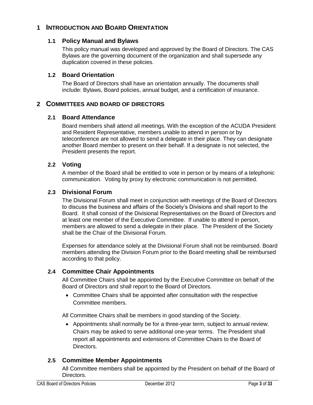# <span id="page-2-1"></span><span id="page-2-0"></span>**1 INTRODUCTION AND BOARD ORIENTATION**

### **1.1 Policy Manual and Bylaws**

This policy manual was developed and approved by the Board of Directors. The CAS Bylaws are the governing document of the organization and shall supersede any duplication covered in these policies.

### <span id="page-2-2"></span>**1.2 Board Orientation**

The Board of Directors shall have an orientation annually. The documents shall include: Bylaws, Board policies, annual budget, and a certification of insurance.

### <span id="page-2-4"></span><span id="page-2-3"></span>**2 COMMITTEES AND BOARD OF DIRECTORS**

### **2.1 Board Attendance**

Board members shall attend all meetings. With the exception of the ACUDA President and Resident Representative, members unable to attend in person or by teleconference are not allowed to send a delegate in their place. They can designate another Board member to present on their behalf. If a designate is not selected, the President presents the report.

### <span id="page-2-5"></span>**2.2 Voting**

A member of the Board shall be entitled to vote in person or by means of a telephonic communication. Voting by proxy by electronic communication is not permitted.

### <span id="page-2-6"></span>**2.3 Divisional Forum**

The Divisional Forum shall meet in conjunction with meetings of the Board of Directors to discuss the business and affairs of the Society's Divisions and shall report to the Board. It shall consist of the Divisional Representatives on the Board of Directors and at least one member of the Executive Committee. If unable to attend in person, members are allowed to send a delegate in their place. The President of the Society shall be the Chair of the Divisional Forum.

Expenses for attendance solely at the Divisional Forum shall not be reimbursed. Board members attending the Division Forum prior to the Board meeting shall be reimbursed according to that policy.

### <span id="page-2-7"></span>**2.4 Committee Chair Appointments**

All Committee Chairs shall be appointed by the Executive Committee on behalf of the Board of Directors and shall report to the Board of Directors.

 Committee Chairs shall be appointed after consultation with the respective Committee members.

All Committee Chairs shall be members in good standing of the Society.

 Appointments shall normally be for a three-year term, subject to annual review. Chairs may be asked to serve additional one-year terms. The President shall report all appointments and extensions of Committee Chairs to the Board of Directors.

### <span id="page-2-8"></span>**2.5 Committee Member Appointments**

All Committee members shall be appointed by the President on behalf of the Board of Directors.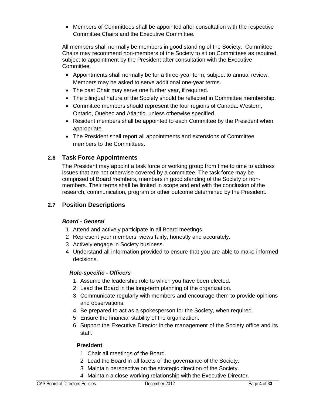Members of Committees shall be appointed after consultation with the respective Committee Chairs and the Executive Committee.

All members shall normally be members in good standing of the Society. Committee Chairs may recommend non-members of the Society to sit on Committees as required, subject to appointment by the President after consultation with the Executive Committee.

- Appointments shall normally be for a three-year term, subject to annual review. Members may be asked to serve additional one-year terms.
- The past Chair may serve one further year, if required.
- The bilingual nature of the Society should be reflected in Committee membership.
- Committee members should represent the four regions of Canada: Western, Ontario, Quebec and Atlantic, unless otherwise specified.
- Resident members shall be appointed to each Committee by the President when appropriate.
- The President shall report all appointments and extensions of Committee members to the Committees.

# <span id="page-3-0"></span>**2.6 Task Force Appointments**

The President may appoint a task force or working group from time to time to address issues that are not otherwise covered by a committee. The task force may be comprised of Board members, members in good standing of the Society or nonmembers. Their terms shall be limited in scope and end with the conclusion of the research, communication, program or other outcome determined by the President.

# <span id="page-3-1"></span>**2.7 Position Descriptions**

### *Board - General*

- 1 Attend and actively participate in all Board meetings.
- 2 Represent your members' views fairly, honestly and accurately.
- 3 Actively engage in Society business.
- 4 Understand all information provided to ensure that you are able to make informed decisions.

### *Role-specific - Officers*

- 1 Assume the leadership role to which you have been elected.
- 2 Lead the Board in the long-term planning of the organization.
- 3 Communicate regularly with members and encourage them to provide opinions and observations.
- 4 Be prepared to act as a spokesperson for the Society, when required.
- 5 Ensure the financial stability of the organization.
- 6 Support the Executive Director in the management of the Society office and its staff.

# **President**

- 1 Chair all meetings of the Board.
- 2 Lead the Board in all facets of the governance of the Society.
- 3 Maintain perspective on the strategic direction of the Society.
- 4 Maintain a close working relationship with the Executive Director.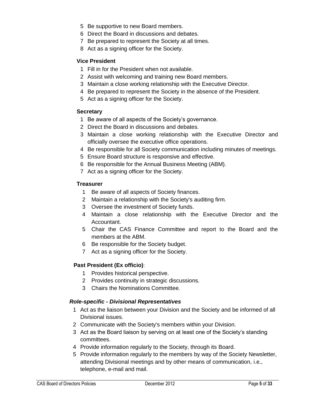- Be supportive to new Board members.
- Direct the Board in discussions and debates.
- Be prepared to represent the Society at all times.
- Act as a signing officer for the Society.

### **Vice President**

- Fill in for the President when not available.
- Assist with welcoming and training new Board members.
- Maintain a close working relationship with the Executive Director.
- Be prepared to represent the Society in the absence of the President.
- Act as a signing officer for the Society.

### **Secretary**

- Be aware of all aspects of the Society's governance.
- Direct the Board in discussions and debates.
- Maintain a close working relationship with the Executive Director and officially oversee the executive office operations.
- Be responsible for all Society communication including minutes of meetings.
- Ensure Board structure is responsive and effective.
- Be responsible for the Annual Business Meeting (ABM).
- Act as a signing officer for the Society.

### **Treasurer**

- Be aware of all aspects of Society finances.
- Maintain a relationship with the Society's auditing firm.
- Oversee the investment of Society funds.
- Maintain a close relationship with the Executive Director and the Accountant.
- Chair the CAS Finance Committee and report to the Board and the members at the ABM.
- Be responsible for the Society budget.
- Act as a signing officer for the Society.

### **Past President (Ex officio)**:

- Provides historical perspective.
- Provides continuity in strategic discussions.
- Chairs the Nominations Committee.

### *Role-specific - Divisional Representatives*

- Act as the liaison between your Division and the Society and be informed of all Divisional issues.
- Communicate with the Society's members within your Division.
- Act as the Board liaison by serving on at least one of the Society's standing committees.
- Provide information regularly to the Society, through its Board.
- Provide information regularly to the members by way of the Society Newsletter, attending Divisional meetings and by other means of communication, i.e., telephone, e-mail and mail.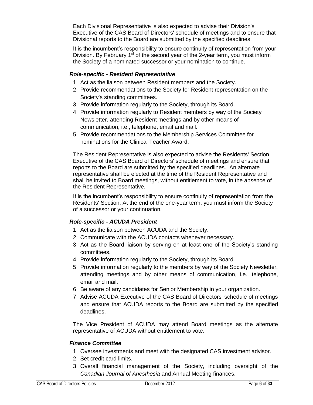Each Divisional Representative is also expected to advise their Division's Executive of the CAS Board of Directors' schedule of meetings and to ensure that Divisional reports to the Board are submitted by the specified deadlines.

It is the incumbent's responsibility to ensure continuity of representation from your Division. By February  $1<sup>st</sup>$  of the second year of the 2-year term, you must inform the Society of a nominated successor or your nomination to continue.

### *Role-specific - Resident Representative*

- 1 Act as the liaison between Resident members and the Society.
- 2 Provide recommendations to the Society for Resident representation on the Society's standing committees.
- 3 Provide information regularly to the Society, through its Board.
- 4 Provide information regularly to Resident members by way of the Society Newsletter, attending Resident meetings and by other means of communication, i.e., telephone, email and mail.
- 5 Provide recommendations to the Membership Services Committee for nominations for the Clinical Teacher Award.

The Resident Representative is also expected to advise the Residents' Section Executive of the CAS Board of Directors' schedule of meetings and ensure that reports to the Board are submitted by the specified deadlines. An alternate representative shall be elected at the time of the Resident Representative and shall be invited to Board meetings, without entitlement to vote, in the absence of the Resident Representative.

It is the incumbent's responsibility to ensure continuity of representation from the Residents' Section. At the end of the one-year term, you must inform the Society of a successor or your continuation.

### *Role-specific - ACUDA President*

- 1 Act as the liaison between ACUDA and the Society.
- 2 Communicate with the ACUDA contacts whenever necessary.
- 3 Act as the Board liaison by serving on at least one of the Society's standing committees.
- 4 Provide information regularly to the Society, through its Board.
- 5 Provide information regularly to the members by way of the Society Newsletter, attending meetings and by other means of communication, i.e., telephone, email and mail.
- 6 Be aware of any candidates for Senior Membership in your organization.
- 7 Advise ACUDA Executive of the CAS Board of Directors' schedule of meetings and ensure that ACUDA reports to the Board are submitted by the specified deadlines.

The Vice President of ACUDA may attend Board meetings as the alternate representative of ACUDA without entitlement to vote.

### *Finance Committee*

- 1 Oversee investments and meet with the designated CAS investment advisor.
- 2 Set credit card limits.
- 3 Overall financial management of the Society, including oversight of the *Canadian Journal of Anesthesia* and Annual Meeting finances.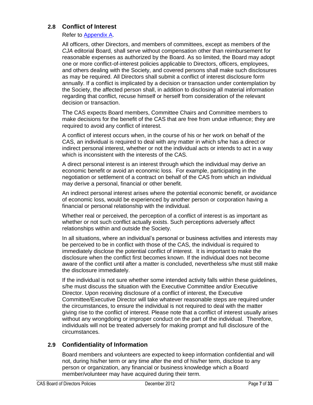### <span id="page-6-0"></span>**2.8 Conflict of Interest**

Refer to [Appendix A.](#page-16-1)

All officers, other Directors, and members of committees, except as members of the *CJA* editorial Board, shall serve without compensation other than reimbursement for reasonable expenses as authorized by the Board. As so limited, the Board may adopt one or more conflict-of-interest policies applicable to Directors, officers, employees, and others dealing with the Society, and covered persons shall make such disclosures as may be required. All Directors shall submit a conflict of interest disclosure form annually. If a conflict is implicated by a decision or transaction under contemplation by the Society, the affected person shall, in addition to disclosing all material information regarding that conflict, recuse himself or herself from consideration of the relevant decision or transaction.

The CAS expects Board members, Committee Chairs and Committee members to make decisions for the benefit of the CAS that are free from undue influence; they are required to avoid any conflict of interest.

A conflict of interest occurs when, in the course of his or her work on behalf of the CAS, an individual is required to deal with any matter in which s/he has a direct or indirect personal interest, whether or not the individual acts or intends to act in a way which is inconsistent with the interests of the CAS.

A direct personal interest is an interest through which the individual may derive an economic benefit or avoid an economic loss. For example, participating in the negotiation or settlement of a contract on behalf of the CAS from which an individual may derive a personal, financial or other benefit.

An indirect personal interest arises where the potential economic benefit, or avoidance of economic loss, would be experienced by another person or corporation having a financial or personal relationship with the individual.

Whether real or perceived, the perception of a conflict of interest is as important as whether or not such conflict actually exists. Such perceptions adversely affect relationships within and outside the Society.

In all situations, where an individual's personal or business activities and interests may be perceived to be in conflict with those of the CAS, the individual is required to immediately disclose the potential conflict of interest. It is important to make the disclosure when the conflict first becomes known. If the individual does not become aware of the conflict until after a matter is concluded, nevertheless s/he must still make the disclosure immediately.

If the individual is not sure whether some intended activity falls within these guidelines, s/he must discuss the situation with the Executive Committee and/or Executive Director. Upon receiving disclosure of a conflict of interest, the Executive Committee/Executive Director will take whatever reasonable steps are required under the circumstances, to ensure the individual is not required to deal with the matter giving rise to the conflict of interest. Please note that a conflict of interest usually arises without any wrongdoing or improper conduct on the part of the individual. Therefore, individuals will not be treated adversely for making prompt and full disclosure of the circumstances.

# <span id="page-6-1"></span>**2.9 Confidentiality of Information**

Board members and volunteers are expected to keep information confidential and will not, during his/her term or any time after the end of his/her term, disclose to any person or organization, any financial or business knowledge which a Board member/volunteer may have acquired during their term.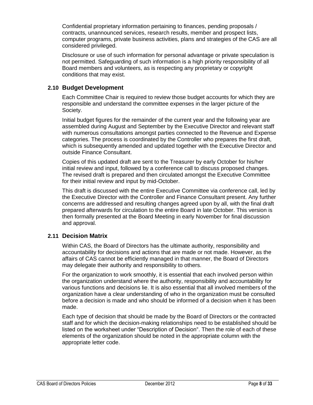Confidential proprietary information pertaining to finances, pending proposals / contracts, unannounced services, research results, member and prospect lists, computer programs, private business activities, plans and strategies of the CAS are all considered privileged.

Disclosure or use of such information for personal advantage or private speculation is not permitted. Safeguarding of such information is a high priority responsibility of all Board members and volunteers, as is respecting any proprietary or copyright conditions that may exist.

### <span id="page-7-0"></span>**2.10 Budget Development**

Each Committee Chair is required to review those budget accounts for which they are responsible and understand the committee expenses in the larger picture of the Society.

Initial budget figures for the remainder of the current year and the following year are assembled during August and September by the Executive Director and relevant staff with numerous consultations amongst parties connected to the Revenue and Expense categories. The process is coordinated by the Controller who prepares the first draft, which is subsequently amended and updated together with the Executive Director and outside Finance Consultant.

Copies of this updated draft are sent to the Treasurer by early October for his/her initial review and input, followed by a conference call to discuss proposed changes. The revised draft is prepared and then circulated amongst the Executive Committee for their initial review and input by mid-October.

This draft is discussed with the entire Executive Committee via conference call, led by the Executive Director with the Controller and Finance Consultant present. Any further concerns are addressed and resulting changes agreed upon by all, with the final draft prepared afterwards for circulation to the entire Board in late October. This version is then formally presented at the Board Meeting in early November for final discussion and approval.

### <span id="page-7-1"></span>**2.11 Decision Matrix**

Within CAS, the Board of Directors has the ultimate authority, responsibility and accountability for decisions and actions that are made or not made. However, as the affairs of CAS cannot be efficiently managed in that manner, the Board of Directors may delegate their authority and responsibility to others.

For the organization to work smoothly, it is essential that each involved person within the organization understand where the authority, responsibility and accountability for various functions and decisions lie. It is also essential that all involved members of the organization have a clear understanding of who in the organization must be consulted before a decision is made and who should be informed of a decision when it has been made.

Each type of decision that should be made by the Board of Directors or the contracted staff and for which the decision-making relationships need to be established should be listed on the worksheet under "Description of Decision". Then the role of each of these elements of the organization should be noted in the appropriate column with the appropriate letter code.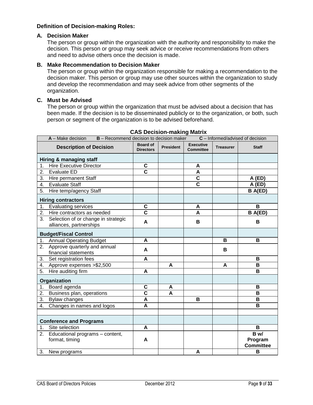### **Definition of Decision-making Roles:**

#### **A. Decision Maker**

The person or group within the organization with the authority and responsibility to make the decision. This person or group may seek advice or receive recommendations from others and need to advise others once the decision is made.

### **B. Make Recommendation to Decision Maker**

The person or group within the organization responsible for making a recommendation to the decision maker. This person or group may use other sources within the organization to study and develop the recommendation and may seek advice from other segments of the organization.

#### **C. Must be Advised**

The person or group within the organization that must be advised about a decision that has been made. If the decision is to be disseminated publicly or to the organization, or both, such person or segment of the organization is to be advised beforehand.

| $C$ – Informed/advised of decision<br>$A - Make decision$<br><b>B</b> - Recommend decision to decision maker |                                                         |                                     |                  |                                      |           |                  |  |  |  |
|--------------------------------------------------------------------------------------------------------------|---------------------------------------------------------|-------------------------------------|------------------|--------------------------------------|-----------|------------------|--|--|--|
|                                                                                                              | <b>Description of Decision</b>                          | <b>Board of</b><br><b>Directors</b> | <b>President</b> | <b>Executive</b><br><b>Committee</b> | Treasurer | <b>Staff</b>     |  |  |  |
|                                                                                                              | Hiring & managing staff                                 |                                     |                  |                                      |           |                  |  |  |  |
|                                                                                                              | <b>Hire Executive Director</b>                          | $\mathbf C$                         |                  | A                                    |           |                  |  |  |  |
| 2.                                                                                                           | <b>Evaluate ED</b>                                      | $\overline{\mathbf{c}}$             |                  | A                                    |           |                  |  |  |  |
| 3.                                                                                                           | Hire permanent Staff                                    |                                     |                  | $\overline{\mathbf{c}}$              |           | A (ED)           |  |  |  |
| 4.                                                                                                           | <b>Evaluate Staff</b>                                   |                                     |                  | $\overline{\mathbf{c}}$              |           | A (ED)           |  |  |  |
| 5.                                                                                                           | Hire temp/agency Staff                                  |                                     |                  |                                      |           | B A(ED)          |  |  |  |
|                                                                                                              | <b>Hiring contractors</b>                               |                                     |                  |                                      |           |                  |  |  |  |
| 1.                                                                                                           | <b>Evaluating services</b>                              | C                                   |                  | A                                    |           | B                |  |  |  |
| 2.                                                                                                           | Hire contractors as needed                              | $\overline{\mathbf{c}}$             |                  | A                                    |           | B A(ED)          |  |  |  |
|                                                                                                              | 3. Selection of or change in strategic                  | A                                   |                  | в                                    |           | В                |  |  |  |
|                                                                                                              | alliances, partnerships                                 |                                     |                  |                                      |           |                  |  |  |  |
| <b>Budget/Fiscal Control</b>                                                                                 |                                                         |                                     |                  |                                      |           |                  |  |  |  |
| 1.                                                                                                           | <b>Annual Operating Budget</b>                          | A                                   |                  |                                      | B         | B                |  |  |  |
|                                                                                                              | 2. Approve quarterly and annual<br>financial statements | A                                   |                  |                                      | в         |                  |  |  |  |
| 3.                                                                                                           | Set registration fees                                   | A                                   |                  |                                      |           | B                |  |  |  |
| 4.                                                                                                           | Approve expenses > \$2,500                              |                                     | A                |                                      | A         | B                |  |  |  |
| 5.                                                                                                           | Hire auditing firm                                      | A                                   |                  |                                      |           | B                |  |  |  |
| Organization                                                                                                 |                                                         |                                     |                  |                                      |           |                  |  |  |  |
| 1.                                                                                                           | Board agenda                                            | C                                   | A                |                                      |           | В                |  |  |  |
| 2.                                                                                                           | Business plan, operations                               | $\overline{\mathbf{c}}$             | A                |                                      |           | B                |  |  |  |
|                                                                                                              | 3. Bylaw changes                                        | A                                   |                  | В                                    |           | B                |  |  |  |
| 4.                                                                                                           | Changes in names and logos                              | A                                   |                  |                                      |           | в                |  |  |  |
|                                                                                                              |                                                         |                                     |                  |                                      |           |                  |  |  |  |
|                                                                                                              | <b>Conference and Programs</b>                          |                                     |                  |                                      |           |                  |  |  |  |
| 1.                                                                                                           | Site selection                                          | A                                   |                  |                                      |           | B                |  |  |  |
|                                                                                                              | $\overline{2.}$ Educational programs – content,         |                                     |                  |                                      |           | B w/             |  |  |  |
|                                                                                                              | format, timing                                          | A                                   |                  |                                      |           | Program          |  |  |  |
|                                                                                                              |                                                         |                                     |                  |                                      |           | <b>Committee</b> |  |  |  |
| 3.                                                                                                           | New programs                                            |                                     |                  | A                                    |           | B                |  |  |  |

#### **CAS Decision-making Matrix**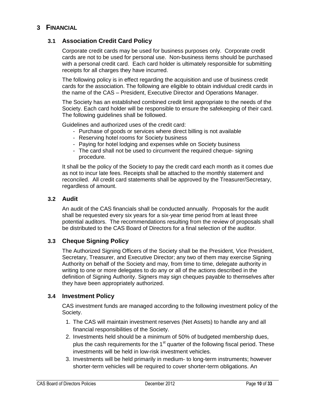# <span id="page-9-1"></span><span id="page-9-0"></span>**3 FINANCIAL**

### **3.1 Association Credit Card Policy**

Corporate credit cards may be used for business purposes only. Corporate credit cards are not to be used for personal use. Non-business items should be purchased with a personal credit card. Each card holder is ultimately responsible for submitting receipts for all charges they have incurred.

The following policy is in effect regarding the acquisition and use of business credit cards for the association. The following are eligible to obtain individual credit cards in the name of the CAS – President, Executive Director and Operations Manager.

The Society has an established combined credit limit appropriate to the needs of the Society. Each card holder will be responsible to ensure the safekeeping of their card. The following guidelines shall be followed.

Guidelines and authorized uses of the credit card:

- Purchase of goods or services where direct billing is not available
- Reserving hotel rooms for Society business
- Paying for hotel lodging and expenses while on Society business
- The card shall not be used to circumvent the required cheque- signing procedure.

It shall be the policy of the Society to pay the credit card each month as it comes due as not to incur late fees. Receipts shall be attached to the monthly statement and reconciled. All credit card statements shall be approved by the Treasurer/Secretary, regardless of amount.

### <span id="page-9-2"></span>**3.2 Audit**

An audit of the CAS financials shall be conducted annually. Proposals for the audit shall be requested every six years for a six-year time period from at least three potential auditors. The recommendations resulting from the review of proposals shall be distributed to the CAS Board of Directors for a final selection of the auditor.

### <span id="page-9-3"></span>**3.3 Cheque Signing Policy**

The Authorized Signing Officers of the Society shall be the President, Vice President, Secretary, Treasurer, and Executive Director; any two of them may exercise Signing Authority on behalf of the Society and may, from time to time, delegate authority in writing to one or more delegates to do any or all of the actions described in the definition of Signing Authority. Signers may sign cheques payable to themselves after they have been appropriately authorized.

### <span id="page-9-4"></span>**3.4 Investment Policy**

CAS investment funds are managed according to the following investment policy of the Society.

- 1. The CAS will maintain investment reserves (Net Assets) to handle any and all financial responsibilities of the Society.
- 2. Investments held should be a minimum of 50% of budgeted membership dues, plus the cash requirements for the  $1<sup>st</sup>$  quarter of the following fiscal period. These investments will be held in low-risk investment vehicles.
- 3. Investments will be held primarily in medium- to long-term instruments; however shorter-term vehicles will be required to cover shorter-term obligations. An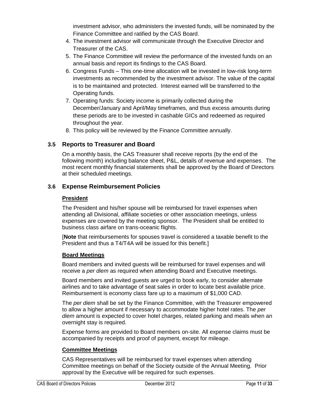investment advisor, who administers the invested funds, will be nominated by the Finance Committee and ratified by the CAS Board.

- 4. The investment advisor will communicate through the Executive Director and Treasurer of the CAS.
- 5. The Finance Committee will review the performance of the invested funds on an annual basis and report its findings to the CAS Board.
- 6. Congress Funds This one-time allocation will be invested in low-risk long-term investments as recommended by the investment advisor. The value of the capital is to be maintained and protected. Interest earned will be transferred to the Operating funds.
- 7. Operating funds: Society income is primarily collected during the December/January and April/May timeframes, and thus excess amounts during these periods are to be invested in cashable GICs and redeemed as required throughout the year.
- 8. This policy will be reviewed by the Finance Committee annually.

# <span id="page-10-0"></span>**3.5 Reports to Treasurer and Board**

On a monthly basis, the CAS Treasurer shall receive reports (by the end of the following month) including balance sheet, P&L, details of revenue and expenses. The most recent monthly financial statements shall be approved by the Board of Directors at their scheduled meetings.

# <span id="page-10-1"></span>**3.6 Expense Reimbursement Policies**

### **President**

The President and his/her spouse will be reimbursed for travel expenses when attending all Divisional, affiliate societies or other association meetings, unless expenses are covered by the meeting sponsor. The President shall be entitled to business class airfare on trans-oceanic flights.

[**Note** that reimbursements for spouses travel is considered a taxable benefit to the President and thus a T4/T4A will be issued for this benefit.]

### **Board Meetings**

Board members and invited guests will be reimbursed for travel expenses and will receive a *per diem* as required when attending Board and Executive meetings.

Board members and invited guests are urged to book early, to consider alternate airlines and to take advantage of seat sales in order to locate best available price. Reimbursement is economy class fare up to a maximum of \$1,000 CAD.

The *per diem* shall be set by the Finance Committee, with the Treasurer empowered to allow a higher amount if necessary to accommodate higher hotel rates. The *per diem* amount is expected to cover hotel charges, related parking and meals when an overnight stay is required.

Expense forms are provided to Board members on-site. All expense claims must be accompanied by receipts and proof of payment, except for mileage.

# **Committee Meetings**

CAS Representatives will be reimbursed for travel expenses when attending Committee meetings on behalf of the Society outside of the Annual Meeting. Prior approval by the Executive will be required for such expenses.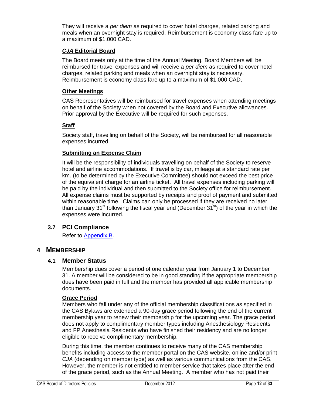They will receive a *per diem* as required to cover hotel charges, related parking and meals when an overnight stay is required. Reimbursement is economy class fare up to a maximum of \$1,000 CAD.

### *CJA* **Editorial Board**

The Board meets only at the time of the Annual Meeting. Board Members will be reimbursed for travel expenses and will receive a *per diem* as required to cover hotel charges, related parking and meals when an overnight stay is necessary. Reimbursement is economy class fare up to a maximum of \$1,000 CAD.

### **Other Meetings**

CAS Representatives will be reimbursed for travel expenses when attending meetings on behalf of the Society when not covered by the Board and Executive allowances. Prior approval by the Executive will be required for such expenses.

### **Staff**

Society staff, travelling on behalf of the Society, will be reimbursed for all reasonable expenses incurred.

### **Submitting an Expense Claim**

It will be the responsibility of individuals travelling on behalf of the Society to reserve hotel and airline accommodations. If travel is by car, mileage at a standard rate per km. (to be determined by the Executive Committee) should not exceed the best price of the equivalent charge for an airline ticket. All travel expenses including parking will be paid by the individual and then submitted to the Society office for reimbursement. All expense claims must be supported by receipts and proof of payment and submitted within reasonable time. Claims can only be processed if they are received no later than January 31<sup>st</sup> following the fiscal year end (December  $31<sup>st</sup>$ ) of the year in which the expenses were incurred.

### <span id="page-11-0"></span>**3.7 PCI Compliance**

Refer to [Appendix B.](#page-20-0)

### <span id="page-11-2"></span><span id="page-11-1"></span>**4 MEMBERSHIP**

### **4.1 Member Status**

Membership dues cover a period of one calendar year from January 1 to December 31. A member will be considered to be in good standing if the appropriate membership dues have been paid in full and the member has provided all applicable membership documents.

### **Grace Period**

Members who fall under any of the official membership classifications as specified in the CAS Bylaws are extended a 90-day grace period following the end of the current membership year to renew their membership for the upcoming year. The grace period does not apply to complimentary member types including Anesthesiology Residents and FP Anesthesia Residents who have finished their residency and are no longer eligible to receive complimentary membership.

During this time, the member continues to receive many of the CAS membership benefits including access to the member portal on the CAS website, online and/or print *CJA* (depending on member type) as well as various communications from the CAS. However, the member is not entitled to member service that takes place after the end of the grace period, such as the Annual Meeting. A member who has not paid their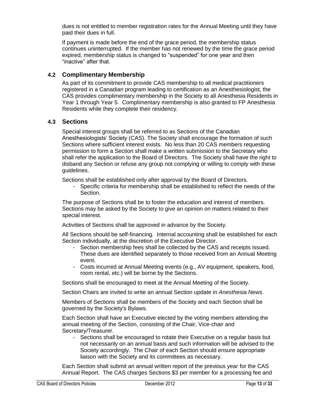dues is not entitled to member registration rates for the Annual Meeting until they have paid their dues in full.

If payment is made before the end of the grace period, the membership status continues uninterrupted. If the member has not renewed by the time the grace period expired, membership status is changed to "suspended" for one year and then "inactive" after that.

### <span id="page-12-0"></span>**4.2 Complimentary Membership**

As part of its commitment to provide CAS membership to all medical practitioners registered in a Canadian program leading to certification as an Anesthesiologist, the CAS provides complimentary membership in the Society to all Anesthesia Residents in Year 1 through Year 5. Complimentary membership is also granted to FP Anesthesia Residents while they complete their residency.

### <span id="page-12-1"></span>**4.3 Sections**

Special interest groups shall be referred to as Sections of the Canadian Anesthesiologists' Society (CAS). The Society shall encourage the formation of such Sections where sufficient interest exists. No less than 20 CAS members requesting permission to form a Section shall make a written submission to the Secretary who shall refer the application to the Board of Directors. The Society shall have the right to disband any Section or refuse any group not complying or willing to comply with these guidelines.

Sections shall be established only after approval by the Board of Directors.

- Specific criteria for membership shall be established to reflect the needs of the Section.

The purpose of Sections shall be to foster the education and interest of members. Sections may be asked by the Society to give an opinion on matters related to their special interest.

Activities of Sections shall be approved in advance by the Society.

All Sections should be self-financing. Internal accounting shall be established for each Section individually, at the discretion of the Executive Director.

- Section membership fees shall be collected by the CAS and receipts issued. These dues are identified separately to those received from an Annual Meeting event.
- Costs incurred at Annual Meeting events (e.g., AV equipment, speakers, food, room rental, etc.) will be borne by the Sections.

Sections shall be encouraged to meet at the Annual Meeting of the Society.

Section Chairs are invited to write an annual Section update in *Anesthesia News*.

Members of Sections shall be members of the Society and each Section shall be governed by the Society's Bylaws.

Each Section shall have an Executive elected by the voting members attending the annual meeting of the Section, consisting of the Chair, Vice-chair and Secretary/Treasurer.

- Sections shall be encouraged to rotate their Executive on a regular basis but not necessarily on an annual basis and such information will be advised to the Society accordingly. The Chair of each Section should ensure appropriate liaison with the Society and its committees as necessary.

Each Section shall submit an annual written report of the previous year for the CAS Annual Report. The CAS charges Sections \$3 per member for a processing fee and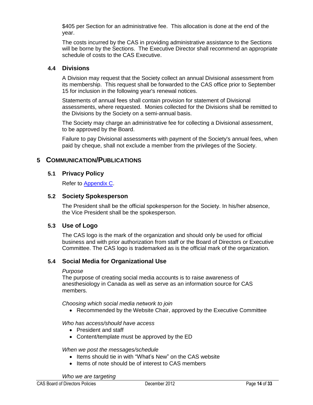\$405 per Section for an administrative fee. This allocation is done at the end of the year.

The costs incurred by the CAS in providing administrative assistance to the Sections will be borne by the Sections. The Executive Director shall recommend an appropriate schedule of costs to the CAS Executive.

### <span id="page-13-0"></span>**4.4 Divisions**

A Division may request that the Society collect an annual Divisional assessment from its membership. This request shall be forwarded to the CAS office prior to September 15 for inclusion in the following year's renewal notices.

Statements of annual fees shall contain provision for statement of Divisional assessments, where requested. Monies collected for the Divisions shall be remitted to the Divisions by the Society on a semi-annual basis.

The Society may charge an administrative fee for collecting a Divisional assessment, to be approved by the Board.

Failure to pay Divisional assessments with payment of the Society's annual fees, when paid by cheque, shall not exclude a member from the privileges of the Society.

### <span id="page-13-2"></span><span id="page-13-1"></span>**5 COMMUNICATION/PUBLICATIONS**

### **5.1 Privacy Policy**

Refer to [Appendix C.](#page-23-0)

### <span id="page-13-3"></span>**5.2 Society Spokesperson**

The President shall be the official spokesperson for the Society. In his/her absence, the Vice President shall be the spokesperson.

### <span id="page-13-4"></span>**5.3 Use of Logo**

The CAS logo is the mark of the organization and should only be used for official business and with prior authorization from staff or the Board of Directors or Executive Committee. The CAS logo is trademarked as is the official mark of the organization.

### <span id="page-13-5"></span>**5.4 Social Media for Organizational Use**

#### *Purpose*

The purpose of creating social media accounts is to raise awareness of anesthesiology in Canada as well as serve as an information source for CAS members.

*Choosing which social media network to join*

Recommended by the Website Chair, approved by the Executive Committee

#### *Who has access/should have access*

- President and staff
- Content/template must be approved by the ED

#### *When we post the messages/schedule*

- Items should tie in with "What's New" on the CAS website
- Items of note should be of interest to CAS members

*Who we are targeting*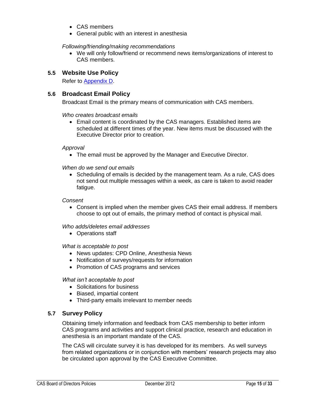- CAS members
- General public with an interest in anesthesia

#### *Following/friending/making recommendations*

 We will only follow/friend or recommend news items/organizations of interest to CAS members.

### <span id="page-14-0"></span>**5.5 Website Use Policy**

Refer to [Appendix D.](#page-26-0)

### <span id="page-14-1"></span>**5.6 Broadcast Email Policy**

Broadcast Email is the primary means of communication with CAS members.

#### *Who creates broadcast emails*

 Email content is coordinated by the CAS managers. Established items are scheduled at different times of the year. New items must be discussed with the Executive Director prior to creation.

#### *Approval*

The email must be approved by the Manager and Executive Director.

*When do we send out emails*

• Scheduling of emails is decided by the management team. As a rule, CAS does not send out multiple messages within a week, as care is taken to avoid reader fatique.

#### *Consent*

 Consent is implied when the member gives CAS their email address. If members choose to opt out of emails, the primary method of contact is physical mail.

#### *Who adds/deletes email addresses*

• Operations staff

#### *What is acceptable to post*

- News updates: CPD Online, Anesthesia News
- Notification of surveys/requests for information
- Promotion of CAS programs and services

*What isn't acceptable to post*

- Solicitations for business
- Biased, impartial content
- Third-party emails irrelevant to member needs

### <span id="page-14-2"></span>**5.7 Survey Policy**

Obtaining timely information and feedback from CAS membership to better inform CAS programs and activities and support clinical practice, research and education in anesthesia is an important mandate of the CAS.

The CAS will circulate survey it is has developed for its members. As well surveys from related organizations or in conjunction with members' research projects may also be circulated upon approval by the CAS Executive Committee.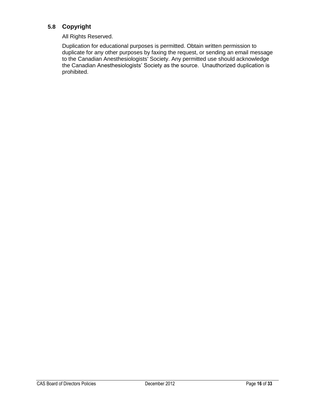# <span id="page-15-0"></span>**5.8 Copyright**

All Rights Reserved.

Duplication for educational purposes is permitted. Obtain written permission to duplicate for any other purposes by faxing the request, or sending an email message to the Canadian Anesthesiologists' Society. Any permitted use should acknowledge the Canadian Anesthesiologists' Society as the source. Unauthorized duplication is prohibited.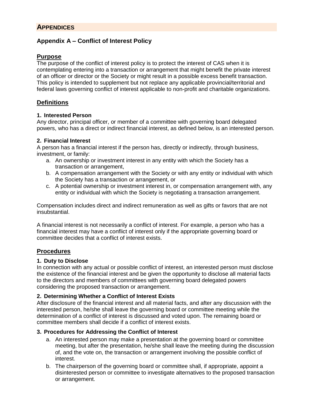# <span id="page-16-1"></span><span id="page-16-0"></span>**Appendix A – Conflict of Interest Policy**

### **Purpose**

The purpose of the conflict of interest policy is to protect the interest of CAS when it is contemplating entering into a transaction or arrangement that might benefit the private interest of an officer or director or the Society or might result in a possible excess benefit transaction. This policy is intended to supplement but not replace any applicable provincial/territorial and federal laws governing conflict of interest applicable to non-profit and charitable organizations.

# **Definitions**

### **1. Interested Person**

Any director, principal officer, or member of a committee with governing board delegated powers, who has a direct or indirect financial interest, as defined below, is an interested person.

### **2. Financial Interest**

A person has a financial interest if the person has, directly or indirectly, through business, investment, or family:

- a. An ownership or investment interest in any entity with which the Society has a transaction or arrangement,
- b. A compensation arrangement with the Society or with any entity or individual with which the Society has a transaction or arrangement, or
- c. A potential ownership or investment interest in, or compensation arrangement with, any entity or individual with which the Society is negotiating a transaction arrangement.

Compensation includes direct and indirect remuneration as well as gifts or favors that are not insubstantial.

A financial interest is not necessarily a conflict of interest. For example, a person who has a financial interest may have a conflict of interest only if the appropriate governing board or committee decides that a conflict of interest exists.

# **Procedures**

### **1. Duty to Disclose**

In connection with any actual or possible conflict of interest, an interested person must disclose the existence of the financial interest and be given the opportunity to disclose all material facts to the directors and members of committees with governing board delegated powers considering the proposed transaction or arrangement.

### **2. Determining Whether a Conflict of Interest Exists**

After disclosure of the financial interest and all material facts, and after any discussion with the interested person, he/she shall leave the governing board or committee meeting while the determination of a conflict of interest is discussed and voted upon. The remaining board or committee members shall decide if a conflict of interest exists.

### **3. Procedures for Addressing the Conflict of Interest**

- a. An interested person may make a presentation at the governing board or committee meeting, but after the presentation, he/she shall leave the meeting during the discussion of, and the vote on, the transaction or arrangement involving the possible conflict of interest.
- b. The chairperson of the governing board or committee shall, if appropriate, appoint a disinterested person or committee to investigate alternatives to the proposed transaction or arrangement.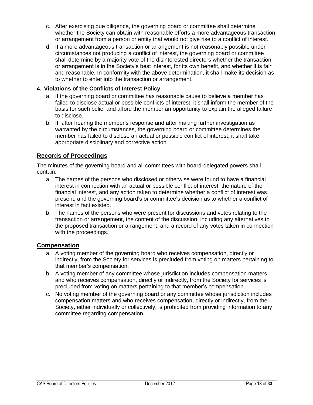- c. After exercising due diligence, the governing board or committee shall determine whether the Society can obtain with reasonable efforts a more advantageous transaction or arrangement from a person or entity that would not give rise to a conflict of interest.
- d. If a more advantageous transaction or arrangement is not reasonably possible under circumstances not producing a conflict of interest, the governing board or committee shall determine by a majority vote of the disinterested directors whether the transaction or arrangement is in the Society's best interest, for its own benefit, and whether it is fair and reasonable. In conformity with the above determination, it shall make its decision as to whether to enter into the transaction or arrangement.

### **4. Violations of the Conflicts of Interest Policy**

- a. If the governing board or committee has reasonable cause to believe a member has failed to disclose actual or possible conflicts of interest, it shall inform the member of the basis for such belief and afford the member an opportunity to explain the alleged failure to disclose.
- b. If, after hearing the member's response and after making further investigation as warranted by the circumstances, the governing board or committee determines the member has failed to disclose an actual or possible conflict of interest, it shall take appropriate disciplinary and corrective action.

### **Records of Proceedings**

The minutes of the governing board and all committees with board-delegated powers shall contain:

- a. The names of the persons who disclosed or otherwise were found to have a financial interest in connection with an actual or possible conflict of interest, the nature of the financial interest, and any action taken to determine whether a conflict of interest was present, and the governing board's or committee's decision as to whether a conflict of interest in fact existed.
- b. The names of the persons who were present for discussions and votes relating to the transaction or arrangement, the content of the discussion, including any alternatives to the proposed transaction or arrangement, and a record of any votes taken in connection with the proceedings.

### **Compensation**

- a. A voting member of the governing board who receives compensation, directly or indirectly, from the Society for services is precluded from voting on matters pertaining to that member's compensation.
- b. A voting member of any committee whose jurisdiction includes compensation matters and who receives compensation, directly or indirectly, from the Society for services is precluded from voting on matters pertaining to that member's compensation.
- c. No voting member of the governing board or any committee whose jurisdiction includes compensation matters and who receives compensation, directly or indirectly, from the Society, either individually or collectively, is prohibited from providing information to any committee regarding compensation.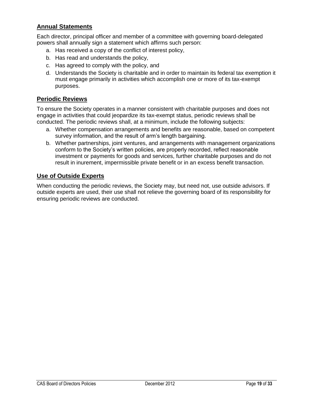# **Annual Statements**

Each director, principal officer and member of a committee with governing board-delegated powers shall annually sign a statement which affirms such person:

- a. Has received a copy of the conflict of interest policy,
- b. Has read and understands the policy,
- c. Has agreed to comply with the policy, and
- d. Understands the Society is charitable and in order to maintain its federal tax exemption it must engage primarily in activities which accomplish one or more of its tax-exempt purposes.

### **Periodic Reviews**

To ensure the Society operates in a manner consistent with charitable purposes and does not engage in activities that could jeopardize its tax-exempt status, periodic reviews shall be conducted. The periodic reviews shall, at a minimum, include the following subjects:

- a. Whether compensation arrangements and benefits are reasonable, based on competent survey information, and the result of arm's length bargaining.
- b. Whether partnerships, joint ventures, and arrangements with management organizations conform to the Society's written policies, are properly recorded, reflect reasonable investment or payments for goods and services, further charitable purposes and do not result in inurement, impermissible private benefit or in an excess benefit transaction.

### **Use of Outside Experts**

When conducting the periodic reviews, the Society may, but need not, use outside advisors. If outside experts are used, their use shall not relieve the governing board of its responsibility for ensuring periodic reviews are conducted.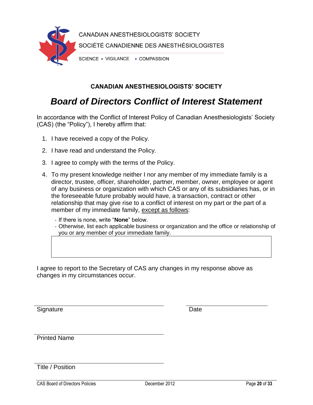

# **CANADIAN ANESTHESIOLOGISTS' SOCIETY**

# *Board of Directors Conflict of Interest Statement*

In accordance with the Conflict of Interest Policy of Canadian Anesthesiologists' Society (CAS) (the "Policy"), I hereby affirm that:

- 1. I have received a copy of the Policy.
- 2. I have read and understand the Policy.
- 3. I agree to comply with the terms of the Policy.
- 4. To my present knowledge neither I nor any member of my immediate family is a director, trustee, officer, shareholder, partner, member, owner, employee or agent of any business or organization with which CAS or any of its subsidiaries has, or in the foreseeable future probably would have, a transaction, contract or other relationship that may give rise to a conflict of interest on my part or the part of a member of my immediate family, except as follows:
	- If there is none, write "**None**" below.
	- Otherwise, list each applicable business or organization and the office or relationship of you or any member of your immediate family.

I agree to report to the Secretary of CAS any changes in my response above as changes in my circumstances occur.

Signature Date **Date** 

Printed Name

Title / Position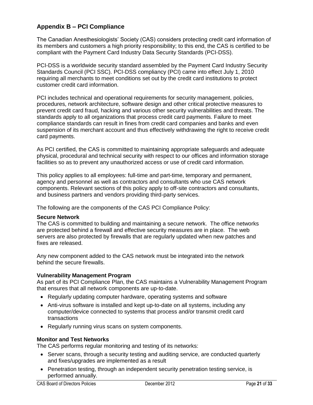# <span id="page-20-0"></span>**Appendix B – PCI Compliance**

The Canadian Anesthesiologists' Society (CAS) considers protecting credit card information of its members and customers a high priority responsibility; to this end, the CAS is certified to be compliant with the Payment Card Industry Data Security Standards (PCI-DSS).

PCI-DSS is a worldwide security standard assembled by the Payment Card Industry Security Standards Council (PCI SSC). PCI-DSS compliancy (PCI) came into effect July 1, 2010 requiring all merchants to meet conditions set out by the credit card institutions to protect customer credit card information.

PCI includes technical and operational requirements for security management, policies, procedures, network architecture, software design and other critical protective measures to prevent credit card fraud, hacking and various other security vulnerabilities and threats. The standards apply to all organizations that process credit card payments. Failure to meet compliance standards can result in fines from credit card companies and banks and even suspension of its merchant account and thus effectively withdrawing the right to receive credit card payments.

As PCI certified, the CAS is committed to maintaining appropriate safeguards and adequate physical, procedural and technical security with respect to our offices and information storage facilities so as to prevent any unauthorized access or use of credit card information.

This policy applies to all employees: full-time and part-time, temporary and permanent, agency and personnel as well as contractors and consultants who use CAS network components. Relevant sections of this policy apply to off-site contractors and consultants, and business partners and vendors providing third-party services.

The following are the components of the CAS PCI Compliance Policy:

#### **Secure Network**

The CAS is committed to building and maintaining a secure network. The office networks are protected behind a firewall and effective security measures are in place. The web servers are also protected by firewalls that are regularly updated when new patches and fixes are released.

Any new component added to the CAS network must be integrated into the network behind the secure firewalls.

#### **Vulnerability Management Program**

As part of its PCI Compliance Plan, the CAS maintains a Vulnerability Management Program that ensures that all network components are up-to-date.

- Regularly updating computer hardware, operating systems and software
- Anti-virus software is installed and kept up-to-date on all systems, including any computer/device connected to systems that process and/or transmit credit card transactions
- Regularly running virus scans on system components.

### **Monitor and Test Networks**

The CAS performs regular monitoring and testing of its networks:

- Server scans, through a security testing and auditing service, are conducted quarterly and fixes/upgrades are implemented as a result
- Penetration testing, through an independent security penetration testing service, is performed annually.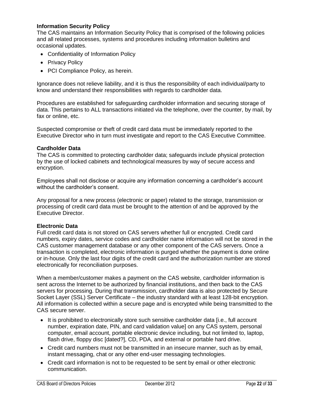### **Information Security Policy**

The CAS maintains an Information Security Policy that is comprised of the following policies and all related processes, systems and procedures including information bulletins and occasional updates.

- Confidentiality of Information Policy
- Privacy Policy
- PCI Compliance Policy, as herein.

Ignorance does not relieve liability, and it is thus the responsibility of each individual/party to know and understand their responsibilities with regards to cardholder data.

Procedures are established for safeguarding cardholder information and securing storage of data. This pertains to ALL transactions initiated via the telephone, over the counter, by mail, by fax or online, etc.

Suspected compromise or theft of credit card data must be immediately reported to the Executive Director who in turn must investigate and report to the CAS Executive Committee.

#### **Cardholder Data**

The CAS is committed to protecting cardholder data; safeguards include physical protection by the use of locked cabinets and technological measures by way of secure access and encryption.

Employees shall not disclose or acquire any information concerning a cardholder's account without the cardholder's consent.

Any proposal for a new process (electronic or paper) related to the storage, transmission or processing of credit card data must be brought to the attention of and be approved by the Executive Director.

#### **Electronic Data**

Full credit card data is not stored on CAS servers whether full or encrypted. Credit card numbers, expiry dates, service codes and cardholder name information will not be stored in the CAS customer management database or any other component of the CAS servers. Once a transaction is completed, electronic information is purged whether the payment is done online or in-house. Only the last four digits of the credit card and the authorization number are stored electronically for reconciliation purposes.

When a member/customer makes a payment on the CAS website, cardholder information is sent across the Internet to be authorized by financial institutions, and then back to the CAS servers for processing. During that transmission, cardholder data is also protected by Secure Socket Layer (SSL) Server Certificate – the industry standard with at least 128-bit encryption. All information is collected within a secure page and is encrypted while being transmitted to the CAS secure server.

- It is prohibited to electronically store such sensitive cardholder data [i.e., full account number, expiration date, PIN, and card validation value] on any CAS system, personal computer, email account, portable electronic device including, but not limited to, laptop, flash drive, floppy disc [dated?], CD, PDA, and external or portable hard drive.
- Credit card numbers must not be transmitted in an insecure manner, such as by email, instant messaging, chat or any other end-user messaging technologies.
- Credit card information is not to be requested to be sent by email or other electronic communication.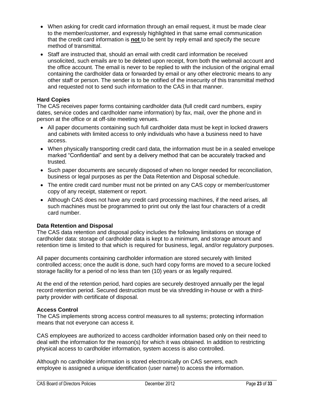- When asking for credit card information through an email request, it must be made clear to the member/customer, and expressly highlighted in that same email communication that the credit card information is **not** to be sent by reply email and specify the secure method of transmittal.
- Staff are instructed that, should an email with credit card information be received unsolicited, such emails are to be deleted upon receipt, from both the webmail account and the office account. The email is never to be replied to with the inclusion of the original email containing the cardholder data or forwarded by email or any other electronic means to any other staff or person. The sender is to be notified of the insecurity of this transmittal method and requested not to send such information to the CAS in that manner.

### **Hard Copies**

The CAS receives paper forms containing cardholder data (full credit card numbers, expiry dates, service codes and cardholder name information) by fax, mail, over the phone and in person at the office or at off-site meeting venues.

- All paper documents containing such full cardholder data must be kept in locked drawers and cabinets with limited access to only individuals who have a business need to have access.
- When physically transporting credit card data, the information must be in a sealed envelope marked "Confidential" and sent by a delivery method that can be accurately tracked and trusted.
- Such paper documents are securely disposed of when no longer needed for reconciliation, business or legal purposes as per the Data Retention and Disposal schedule.
- The entire credit card number must not be printed on any CAS copy or member/customer copy of any receipt, statement or report.
- Although CAS does not have any credit card processing machines, if the need arises, all such machines must be programmed to print out only the last four characters of a credit card number.

### **Data Retention and Disposal**

The CAS data retention and disposal policy includes the following limitations on storage of cardholder data: storage of cardholder data is kept to a minimum, and storage amount and retention time is limited to that which is required for business, legal, and/or regulatory purposes.

All paper documents containing cardholder information are stored securely with limited controlled access; once the audit is done, such hard copy forms are moved to a secure locked storage facility for a period of no less than ten (10) years or as legally required.

At the end of the retention period, hard copies are securely destroyed annually per the legal record retention period. Secured destruction must be via shredding in-house or with a thirdparty provider with certificate of disposal.

#### **Access Control**

The CAS implements strong access control measures to all systems; protecting information means that not everyone can access it.

CAS employees are authorized to access cardholder information based only on their need to deal with the information for the reason(s) for which it was obtained. In addition to restricting physical access to cardholder information, system access is also controlled.

Although no cardholder information is stored electronically on CAS servers, each employee is assigned a unique identification (user name) to access the information.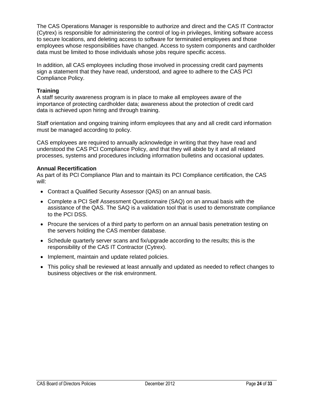The CAS Operations Manager is responsible to authorize and direct and the CAS IT Contractor (Cytrex) is responsible for administering the control of log-in privileges, limiting software access to secure locations, and deleting access to software for terminated employees and those employees whose responsibilities have changed. Access to system components and cardholder data must be limited to those individuals whose jobs require specific access.

In addition, all CAS employees including those involved in processing credit card payments sign a statement that they have read, understood, and agree to adhere to the CAS PCI Compliance Policy.

### **Training**

A staff security awareness program is in place to make all employees aware of the importance of protecting cardholder data; awareness about the protection of credit card data is achieved upon hiring and through training.

Staff orientation and ongoing training inform employees that any and all credit card information must be managed according to policy.

CAS employees are required to annually acknowledge in writing that they have read and understood the CAS PCI Compliance Policy, and that they will abide by it and all related processes, systems and procedures including information bulletins and occasional updates.

#### **Annual Recertification**

As part of its PCI Compliance Plan and to maintain its PCI Compliance certification, the CAS will:

- Contract a Qualified Security Assessor (QAS) on an annual basis.
- Complete a PCI Self Assessment Questionnaire (SAQ) on an annual basis with the assistance of the QAS. The SAQ is a validation tool that is used to demonstrate compliance to the PCI DSS.
- Procure the services of a third party to perform on an annual basis penetration testing on the servers holding the CAS member database.
- Schedule quarterly server scans and fix/upgrade according to the results; this is the responsibility of the CAS IT Contractor (Cytrex).
- Implement, maintain and update related policies.
- <span id="page-23-0"></span> This policy shall be reviewed at least annually and updated as needed to reflect changes to business objectives or the risk environment.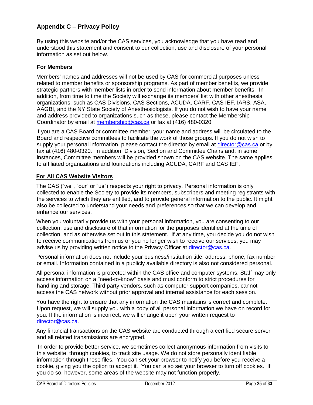# <span id="page-24-0"></span>**Appendix C – Privacy Policy**

By using this website and/or the CAS services, you acknowledge that you have read and understood this statement and consent to our collection, use and disclosure of your personal information as set out below.

### **For Members**

Members' names and addresses will not be used by CAS for commercial purposes unless related to member benefits or sponsorship programs. As part of member benefits, we provide strategic partners with member lists in order to send information about member benefits. In addition, from time to time the Society will exchange its members' list with other anesthesia organizations, such as CAS Divisions, CAS Sections, ACUDA, CARF, CAS IEF, IARS, ASA, AAGBI, and the NY State Society of Anesthesiologists. If you do not wish to have your name and address provided to organizations such as these, please contact the Membership Coordinator by email at [membership@cas.ca](mailto:membership@cas.ca) or fax at (416) 480-0320.

If you are a CAS Board or committee member, your name and address will be circulated to the Board and respective committees to facilitate the work of those groups. If you do not wish to supply your personal information, please contact the director by email at [director@cas.ca](mailto:director@cas.ca) or by fax at (416) 480-0320. In addition, Division, Section and Committee Chairs and, in some instances, Committee members will be provided shown on the CAS website. The same applies to affiliated organizations and foundations including ACUDA, CARF and CAS IEF.

### **For All CAS Website Visitors**

The CAS ("we", "our" or "us") respects your right to privacy. Personal information is only collected to enable the Society to provide its members, subscribers and meeting registrants with the services to which they are entitled, and to provide general information to the public. It might also be collected to understand your needs and preferences so that we can develop and enhance our services.

When you voluntarily provide us with your personal information, you are consenting to our collection, use and disclosure of that information for the purposes identified at the time of collection, and as otherwise set out in this statement. If at any time, you decide you do not wish to receive communications from us or you no longer wish to receive our services, you may advise us by providing written notice to the Privacy Officer at [director@cas.ca.](mailto:director@cas.ca)

Personal information does not include your business/institution title, address, phone, fax number or email. Information contained in a publicly available directory is also not considered personal.

All personal information is protected within the CAS office and computer systems. Staff may only access information on a "need-to-know" basis and must conform to strict procedures for handling and storage. Third party vendors, such as computer support companies, cannot access the CAS network without prior approval and internal assistance for each session.

You have the right to ensure that any information the CAS maintains is correct and complete. Upon request, we will supply you with a copy of all personal information we have on record for you. If the information is incorrect, we will change it upon your written request to [director@cas.ca.](mailto:director@cas.ca)

Any financial transactions on the CAS website are conducted through a certified secure server and all related transmissions are encrypted.

In order to provide better service, we sometimes collect anonymous information from visits to this website, through cookies, to track site usage. We do not store personally identifiable information through these files. You can set your browser to notify you before you receive a cookie, giving you the option to accept it. You can also set your browser to turn off cookies. If you do so, however, some areas of the website may not function properly.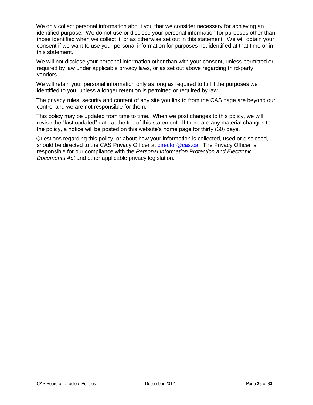We only collect personal information about you that we consider necessary for achieving an identified purpose. We do not use or disclose your personal information for purposes other than those identified when we collect it, or as otherwise set out in this statement. We will obtain your consent if we want to use your personal information for purposes not identified at that time or in this statement.

We will not disclose your personal information other than with your consent, unless permitted or required by law under applicable privacy laws, or as set out above regarding third-party vendors.

We will retain your personal information only as long as required to fulfill the purposes we identified to you, unless a longer retention is permitted or required by law.

The privacy rules, security and content of any site you link to from the CAS page are beyond our control and we are not responsible for them.

This policy may be updated from time to time. When we post changes to this policy, we will revise the "last updated" date at the top of this statement. If there are any material changes to the policy, a notice will be posted on this website's home page for thirty (30) days.

Questions regarding this policy, or about how your information is collected, used or disclosed, should be directed to the CAS Privacy Officer at [director@cas.ca.](mailto:director@cas.ca) The Privacy Officer is responsible for our compliance with the *Personal Information Protection and Electronic Documents Act* and other applicable privacy legislation.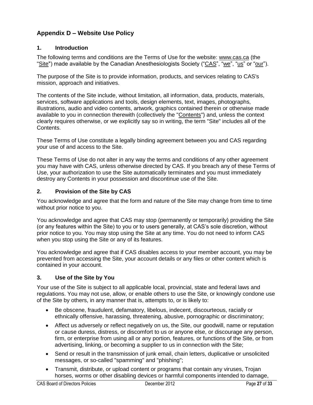# <span id="page-26-0"></span>**Appendix D – Website Use Policy**

### **1. Introduction**

The following terms and conditions are the Terms of Use for the website: [www.cas.ca](http://www.cas.ca/) (the "Site") made available by the Canadian Anesthesiologists Society ("CAS", "we", "us" or "our").

The purpose of the Site is to provide information, products, and services relating to CAS's mission, approach and initiatives.

The contents of the Site include, without limitation, all information, data, products, materials, services, software applications and tools, design elements, text, images, photographs, illustrations, audio and video contents, artwork, graphics contained therein or otherwise made available to you in connection therewith (collectively the "Contents") and, unless the context clearly requires otherwise, or we explicitly say so in writing, the term "Site" includes all of the Contents.

These Terms of Use constitute a legally binding agreement between you and CAS regarding your use of and access to the Site.

These Terms of Use do not alter in any way the terms and conditions of any other agreement you may have with CAS, unless otherwise directed by CAS. If you breach any of these Terms of Use, your authorization to use the Site automatically terminates and you must immediately destroy any Contents in your possession and discontinue use of the Site.

### **2. Provision of the Site by CAS**

You acknowledge and agree that the form and nature of the Site may change from time to time without prior notice to you.

You acknowledge and agree that CAS may stop (permanently or temporarily) providing the Site (or any features within the Site) to you or to users generally, at CAS's sole discretion, without prior notice to you. You may stop using the Site at any time. You do not need to inform CAS when you stop using the Site or any of its features.

You acknowledge and agree that if CAS disables access to your member account, you may be prevented from accessing the Site, your account details or any files or other content which is contained in your account.

### **3. Use of the Site by You**

Your use of the Site is subject to all applicable local, provincial, state and federal laws and regulations. You may not use, allow, or enable others to use the Site, or knowingly condone use of the Site by others, in any manner that is, attempts to, or is likely to:

- Be obscene, fraudulent, defamatory, libelous, indecent, discourteous, racially or ethnically offensive, harassing, threatening, abusive, pornographic or discriminatory;
- Affect us adversely or reflect negatively on us, the Site, our goodwill, name or reputation or cause duress, distress, or discomfort to us or anyone else, or discourage any person, firm, or enterprise from using all or any portion, features, or functions of the Site, or from advertising, linking, or becoming a supplier to us in connection with the Site;
- Send or result in the transmission of junk email, chain letters, duplicative or unsolicited messages, or so-called "spamming" and "phishing";
- Transmit, distribute, or upload content or programs that contain any viruses, Trojan horses, worms or other disabling devices or harmful components intended to damage,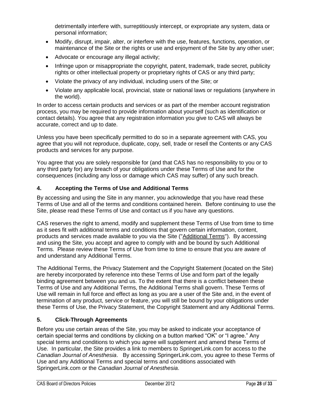detrimentally interfere with, surreptitiously intercept, or expropriate any system, data or personal information;

- Modify, disrupt, impair, alter, or interfere with the use, features, functions, operation, or maintenance of the Site or the rights or use and enjoyment of the Site by any other user;
- Advocate or encourage any illegal activity;
- Infringe upon or misappropriate the copyright, patent, trademark, trade secret, publicity rights or other intellectual property or proprietary rights of CAS or any third party;
- Violate the privacy of any individual, including users of the Site; or
- Violate any applicable local, provincial, state or national laws or regulations (anywhere in the world).

In order to access certain products and services or as part of the member account registration process, you may be required to provide information about yourself (such as identification or contact details). You agree that any registration information you give to CAS will always be accurate, correct and up to date.

Unless you have been specifically permitted to do so in a separate agreement with CAS, you agree that you will not reproduce, duplicate, copy, sell, trade or resell the Contents or any CAS products and services for any purpose.

You agree that you are solely responsible for (and that CAS has no responsibility to you or to any third party for) any breach of your obligations under these Terms of Use and for the consequences (including any loss or damage which CAS may suffer) of any such breach.

### **4. Accepting the Terms of Use and Additional Terms**

By accessing and using the Site in any manner, you acknowledge that you have read these Terms of Use and all of the terms and conditions contained herein. Before continuing to use the Site, please read these Terms of Use and contact us if you have any questions.

CAS reserves the right to amend, modify and supplement these Terms of Use from time to time as it sees fit with additional terms and conditions that govern certain information, content, products and services made available to you via the Site ("Additional Terms"). By accessing and using the Site, you accept and agree to comply with and be bound by such Additional Terms. Please review these Terms of Use from time to time to ensure that you are aware of and understand any Additional Terms.

The Additional Terms, the Privacy Statement and the Copyright Statement (located on the Site) are hereby incorporated by reference into these Terms of Use and form part of the legally binding agreement between you and us. To the extent that there is a conflict between these Terms of Use and any Additional Terms, the Additional Terms shall govern. These Terms of Use will remain in full force and effect as long as you are a user of the Site and, in the event of termination of any product, service or feature, you will still be bound by your obligations under these Terms of Use, the Privacy Statement, the Copyright Statement and any Additional Terms.

### **5. Click-Through Agreements**

Before you use certain areas of the Site, you may be asked to indicate your acceptance of certain special terms and conditions by clicking on a button marked "OK" or "I agree." Any special terms and conditions to which you agree will supplement and amend these Terms of Use. In particular, the Site provides a link to members to SpringerLink.com for access to the *Canadian Journal of Anesthesia*. By accessing SpringerLink.com, you agree to these Terms of Use and any Additional Terms and special terms and conditions associated with SpringerLink.com or the *Canadian Journal of Anesthesia*.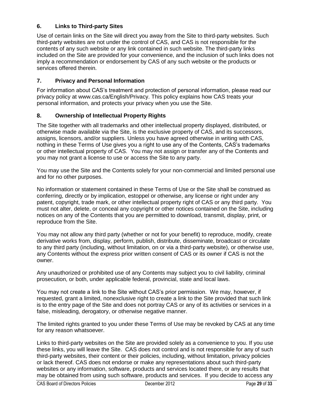### **6. Links to Third-party Sites**

Use of certain links on the Site will direct you away from the Site to third-party websites. Such third-party websites are not under the control of CAS, and CAS is not responsible for the contents of any such website or any link contained in such website. The third-party links included on the Site are provided for your convenience, and the inclusion of such links does not imply a recommendation or endorsement by CAS of any such website or the products or services offered therein.

### **7. Privacy and Personal Information**

For information about CAS's treatment and protection of personal information, please read our privacy policy at www.cas.ca/English/Privacy. This policy explains how CAS treats your personal information, and protects your privacy when you use the Site.

### **8. Ownership of Intellectual Property Rights**

The Site together with all trademarks and other intellectual property displayed, distributed, or otherwise made available via the Site, is the exclusive property of CAS, and its successors, assigns, licensors, and/or suppliers. Unless you have agreed otherwise in writing with CAS, nothing in these Terms of Use gives you a right to use any of the Contents, CAS's trademarks or other intellectual property of CAS. You may not assign or transfer any of the Contents and you may not grant a license to use or access the Site to any party.

You may use the Site and the Contents solely for your non-commercial and limited personal use and for no other purposes.

No information or statement contained in these Terms of Use or the Site shall be construed as conferring, directly or by implication, estoppel or otherwise, any license or right under any patent, copyright, trade mark, or other intellectual property right of CAS or any third party. You must not alter, delete, or conceal any copyright or other notices contained on the Site, including notices on any of the Contents that you are permitted to download, transmit, display, print, or reproduce from the Site.

You may not allow any third party (whether or not for your benefit) to reproduce, modify, create derivative works from, display, perform, publish, distribute, disseminate, broadcast or circulate to any third party (including, without limitation, on or via a third-party website), or otherwise use, any Contents without the express prior written consent of CAS or its owner if CAS is not the owner.

Any unauthorized or prohibited use of any Contents may subject you to civil liability, criminal prosecution, or both, under applicable federal, provincial, state and local laws.

You may not create a link to the Site without CAS's prior permission. We may, however, if requested, grant a limited, nonexclusive right to create a link to the Site provided that such link is to the entry page of the Site and does not portray CAS or any of its activities or services in a false, misleading, derogatory, or otherwise negative manner.

The limited rights granted to you under these Terms of Use may be revoked by CAS at any time for any reason whatsoever.

Links to third-party websites on the Site are provided solely as a convenience to you. If you use these links, you will leave the Site. CAS does not control and is not responsible for any of such third-party websites, their content or their policies, including, without limitation, privacy policies or lack thereof. CAS does not endorse or make any representations about such third-party websites or any information, software, products and services located there, or any results that may be obtained from using such software, products and services. If you decide to access any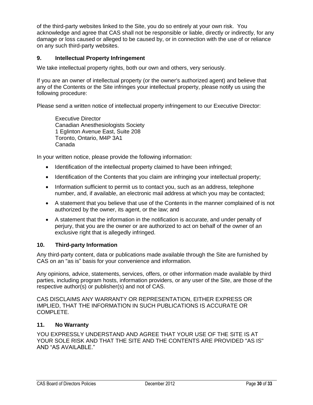of the third-party websites linked to the Site, you do so entirely at your own risk. You acknowledge and agree that CAS shall not be responsible or liable, directly or indirectly, for any damage or loss caused or alleged to be caused by, or in connection with the use of or reliance on any such third-party websites.

### **9. Intellectual Property Infringement**

We take intellectual property rights, both our own and others, very seriously.

If you are an owner of intellectual property (or the owner's authorized agent) and believe that any of the Contents or the Site infringes your intellectual property, please notify us using the following procedure:

Please send a written notice of intellectual property infringement to our Executive Director:

Executive Director Canadian Anesthesiologists Society 1 Eglinton Avenue East, Suite 208 Toronto, Ontario, M4P 3A1 Canada

In your written notice, please provide the following information:

- Identification of the intellectual property claimed to have been infringed;
- Identification of the Contents that you claim are infringing your intellectual property;
- Information sufficient to permit us to contact you, such as an address, telephone number, and, if available, an electronic mail address at which you may be contacted;
- A statement that you believe that use of the Contents in the manner complained of is not authorized by the owner, its agent, or the law; and
- A statement that the information in the notification is accurate, and under penalty of perjury, that you are the owner or are authorized to act on behalf of the owner of an exclusive right that is allegedly infringed.

### **10. Third-party Information**

Any third-party content, data or publications made available through the Site are furnished by CAS on an "as is" basis for your convenience and information.

Any opinions, advice, statements, services, offers, or other information made available by third parties, including program hosts, information providers, or any user of the Site, are those of the respective author(s) or publisher(s) and not of CAS.

CAS DISCLAIMS ANY WARRANTY OR REPRESENTATION, EITHER EXPRESS OR IMPLIED, THAT THE INFORMATION IN SUCH PUBLICATIONS IS ACCURATE OR COMPLETE.

### **11. No Warranty**

YOU EXPRESSLY UNDERSTAND AND AGREE THAT YOUR USE OF THE SITE IS AT YOUR SOLE RISK AND THAT THE SITE AND THE CONTENTS ARE PROVIDED "AS IS" AND "AS AVAILABLE."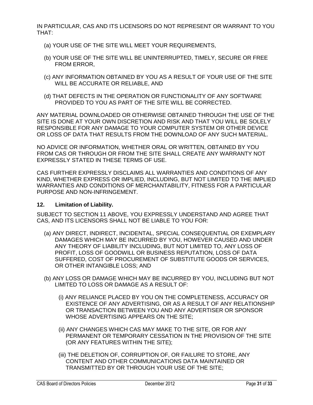IN PARTICULAR, CAS AND ITS LICENSORS DO NOT REPRESENT OR WARRANT TO YOU THAT:

- (a) YOUR USE OF THE SITE WILL MEET YOUR REQUIREMENTS,
- (b) YOUR USE OF THE SITE WILL BE UNINTERRUPTED, TIMELY, SECURE OR FREE FROM ERROR,
- (c) ANY INFORMATION OBTAINED BY YOU AS A RESULT OF YOUR USE OF THE SITE WILL BE ACCURATE OR RELIABLE, AND
- (d) THAT DEFECTS IN THE OPERATION OR FUNCTIONALITY OF ANY SOFTWARE PROVIDED TO YOU AS PART OF THE SITE WILL BE CORRECTED.

ANY MATERIAL DOWNLOADED OR OTHERWISE OBTAINED THROUGH THE USE OF THE SITE IS DONE AT YOUR OWN DISCRETION AND RISK AND THAT YOU WILL BE SOLELY RESPONSIBLE FOR ANY DAMAGE TO YOUR COMPUTER SYSTEM OR OTHER DEVICE OR LOSS OF DATA THAT RESULTS FROM THE DOWNLOAD OF ANY SUCH MATERIAL.

NO ADVICE OR INFORMATION, WHETHER ORAL OR WRITTEN, OBTAINED BY YOU FROM CAS OR THROUGH OR FROM THE SITE SHALL CREATE ANY WARRANTY NOT EXPRESSLY STATED IN THESE TERMS OF USE.

CAS FURTHER EXPRESSLY DISCLAIMS ALL WARRANTIES AND CONDITIONS OF ANY KIND, WHETHER EXPRESS OR IMPLIED, INCLUDING, BUT NOT LIMITED TO THE IMPLIED WARRANTIES AND CONDITIONS OF MERCHANTABILITY, FITNESS FOR A PARTICULAR PURPOSE AND NON-INFRINGEMENT.

### **12. Limitation of Liability.**

SUBJECT TO SECTION 11 ABOVE, YOU EXPRESSLY UNDERSTAND AND AGREE THAT CAS, AND ITS LICENSORS SHALL NOT BE LIABLE TO YOU FOR:

- (a) ANY DIRECT, INDIRECT, INCIDENTAL, SPECIAL CONSEQUENTIAL OR EXEMPLARY DAMAGES WHICH MAY BE INCURRED BY YOU, HOWEVER CAUSED AND UNDER ANY THEORY OF LIABILITY INCLUDING, BUT NOT LIMITED TO, ANY LOSS OF PROFIT, LOSS OF GOODWILL OR BUSINESS REPUTATION, LOSS OF DATA SUFFERED, COST OF PROCUREMENT OF SUBSTITUTE GOODS OR SERVICES, OR OTHER INTANGIBLE LOSS; AND
- (b) ANY LOSS OR DAMAGE WHICH MAY BE INCURRED BY YOU, INCLUDING BUT NOT LIMITED TO LOSS OR DAMAGE AS A RESULT OF:
	- (i) ANY RELIANCE PLACED BY YOU ON THE COMPLETENESS, ACCURACY OR EXISTENCE OF ANY ADVERTISING, OR AS A RESULT OF ANY RELATIONSHIP OR TRANSACTION BETWEEN YOU AND ANY ADVERTISER OR SPONSOR WHOSE ADVERTISING APPEARS ON THE SITE;
	- (ii) ANY CHANGES WHICH CAS MAY MAKE TO THE SITE, OR FOR ANY PERMANENT OR TEMPORARY CESSATION IN THE PROVISION OF THE SITE (OR ANY FEATURES WITHIN THE SITE);
	- (iii) THE DELETION OF, CORRUPTION OF, OR FAILURE TO STORE, ANY CONTENT AND OTHER COMMUNICATIONS DATA MAINTAINED OR TRANSMITTED BY OR THROUGH YOUR USE OF THE SITE;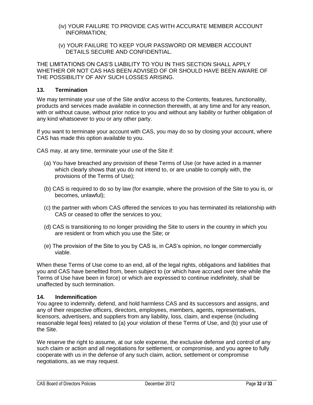- (iv) YOUR FAILURE TO PROVIDE CAS WITH ACCURATE MEMBER ACCOUNT INFORMATION;
- (v) YOUR FAILURE TO KEEP YOUR PASSWORD OR MEMBER ACCOUNT DETAILS SECURE AND CONFIDENTIAL.

THE LIMITATIONS ON CAS'S LIABILITY TO YOU IN THIS SECTION SHALL APPLY WHETHER OR NOT CAS HAS BEEN ADVISED OF OR SHOULD HAVE BEEN AWARE OF THE POSSIBILITY OF ANY SUCH LOSSES ARISING.

#### **13. Termination**

We may terminate your use of the Site and/or access to the Contents, features, functionality, products and services made available in connection therewith, at any time and for any reason, with or without cause, without prior notice to you and without any liability or further obligation of any kind whatsoever to you or any other party.

If you want to terminate your account with CAS, you may do so by closing your account, where CAS has made this option available to you.

CAS may, at any time, terminate your use of the Site if:

- (a) You have breached any provision of these Terms of Use (or have acted in a manner which clearly shows that you do not intend to, or are unable to comply with, the provisions of the Terms of Use);
- (b) CAS is required to do so by law (for example, where the provision of the Site to you is, or becomes, unlawful);
- (c) the partner with whom CAS offered the services to you has terminated its relationship with CAS or ceased to offer the services to you;
- (d) CAS is transitioning to no longer providing the Site to users in the country in which you are resident or from which you use the Site; or
- (e) The provision of the Site to you by CAS is, in CAS's opinion, no longer commercially viable.

When these Terms of Use come to an end, all of the legal rights, obligations and liabilities that you and CAS have benefited from, been subject to (or which have accrued over time while the Terms of Use have been in force) or which are expressed to continue indefinitely, shall be unaffected by such termination.

### **14. Indemnification**

You agree to indemnify, defend, and hold harmless CAS and its successors and assigns, and any of their respective officers, directors, employees, members, agents, representatives, licensors, advertisers, and suppliers from any liability, loss, claim, and expense (including reasonable legal fees) related to (a) your violation of these Terms of Use, and (b) your use of the Site.

We reserve the right to assume, at our sole expense, the exclusive defense and control of any such claim or action and all negotiations for settlement, or compromise, and you agree to fully cooperate with us in the defense of any such claim, action, settlement or compromise negotiations, as we may request.